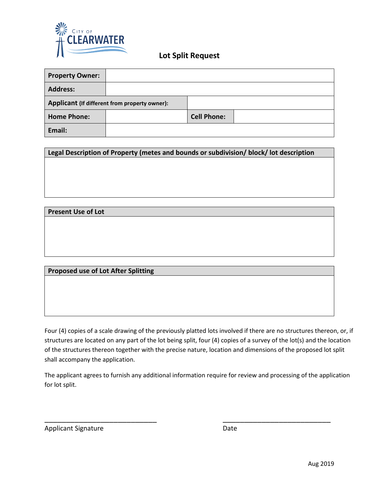

## **Lot Split Request**

| <b>Property Owner:</b>                        |  |                    |  |
|-----------------------------------------------|--|--------------------|--|
| <b>Address:</b>                               |  |                    |  |
| Applicant (If different from property owner): |  |                    |  |
| <b>Home Phone:</b>                            |  | <b>Cell Phone:</b> |  |
| Email:                                        |  |                    |  |

**Legal Description of Property (metes and bounds or subdivision/ block/ lot description**

## **Present Use of Lot**

## **Proposed use of Lot After Splitting**

Four (4) copies of a scale drawing of the previously platted lots involved if there are no structures thereon, or, if structures are located on any part of the lot being split, four (4) copies of a survey of the lot(s) and the location of the structures thereon together with the precise nature, location and dimensions of the proposed lot split shall accompany the application.

The applicant agrees to furnish any additional information require for review and processing of the application for lot split.

\_\_\_\_\_\_\_\_\_\_\_\_\_\_\_\_\_\_\_\_\_\_\_\_\_\_ \_\_\_\_\_\_\_\_\_\_\_\_\_\_\_\_\_\_\_\_\_\_\_\_\_

Applicant Signature Date